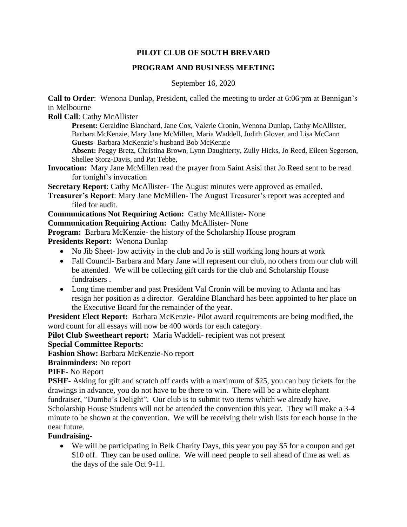# **PILOT CLUB OF SOUTH BREVARD**

# **PROGRAM AND BUSINESS MEETING**

### September 16, 2020

**Call to Order**: Wenona Dunlap, President, called the meeting to order at 6:06 pm at Bennigan's in Melbourne

**Roll Call**: Cathy McAllister

**Present:** Geraldine Blanchard, Jane Cox, Valerie Cronin, Wenona Dunlap, Cathy McAllister, Barbara McKenzie, Mary Jane McMillen, Maria Waddell, Judith Glover, and Lisa McCann **Guests-** Barbara McKenzie's husband Bob McKenzie

**Absent:** Peggy Bretz, Christina Brown, Lynn Daughterty, Zully Hicks, Jo Reed, Eileen Segerson, Shellee Storz-Davis, and Pat Tebbe,

**Invocation:** Mary Jane McMillen read the prayer from Saint Asisi that Jo Reed sent to be read for tonight's invocation

**Secretary Report:** Cathy McAllister- The August minutes were approved as emailed.

**Treasurer's Report**: Mary Jane McMillen- The August Treasurer's report was accepted and filed for audit.

**Communications Not Requiring Action:** Cathy McAllister- None

**Communication Requiring Action:** Cathy McAllister- None

**Program:** Barbara McKenzie- the history of the Scholarship House program

**Presidents Report:** Wenona Dunlap

- No Jib Sheet- low activity in the club and Jo is still working long hours at work
- Fall Council- Barbara and Mary Jane will represent our club, no others from our club will be attended. We will be collecting gift cards for the club and Scholarship House fundraisers .
- Long time member and past President Val Cronin will be moving to Atlanta and has resign her position as a director. Geraldine Blanchard has been appointed to her place on the Executive Board for the remainder of the year.

**President Elect Report:** Barbara McKenzie- Pilot award requirements are being modified, the word count for all essays will now be 400 words for each category.

**Pilot Club Sweetheart report:** Maria Waddell- recipient was not present

# **Special Committee Reports:**

**Fashion Show:** Barbara McKenzie-No report

**Brainminders:** No report

**PIFF-** No Report

**PSHF-** Asking for gift and scratch off cards with a maximum of \$25, you can buy tickets for the drawings in advance, you do not have to be there to win. There will be a white elephant

fundraiser, "Dumbo's Delight". Our club is to submit two items which we already have. Scholarship House Students will not be attended the convention this year. They will make a 3-4 minute to be shown at the convention. We will be receiving their wish lists for each house in the near future.

# **Fundraising-**

• We will be participating in Belk Charity Days, this year you pay \$5 for a coupon and get \$10 off. They can be used online. We will need people to sell ahead of time as well as the days of the sale Oct 9-11.